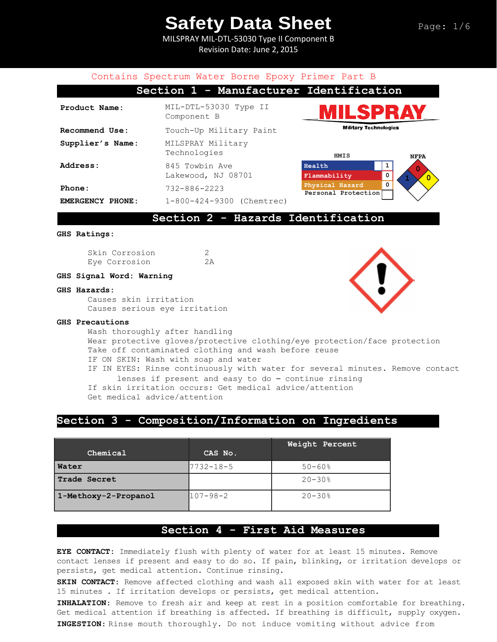MILSPRAY MIL-DTL-53030 Type II Component B Revision Date: June 2, 2015

#### Contains Spectrum Water Borne Epoxy Primer Part B **Section 1 - Manufacturer Identification Product Name:** MIL-DTL-53030 Type II Component B **Military Technologies Recommend Use:** Touch-Up Military Paint **Supplier's Name:** MILSPRAY Military Technologies  **HMIS NFPA** Address: 845 Towbin Ave **Health 1 0** Lakewood, NJ 08701 **Flammability 0 1 0 Physical Hazard 0 Phone:** 732-886-2223 **Personal Protection EMERGENCY PHONE:** 1-800-424-9300 (Chemtrec)**Section 2 - Hazards Identification GHS Ratings:**

Skin Corrosion 2 Eye Corrosion 2A

#### **GHS Signal Word: Warning**

#### **GHS Hazards:**

Causes skin irritation Causes serious eye irritation

#### **GHS Precautions**

Wash thoroughly after handling Wear protective gloves/protective clothing/eye protection/face protection Take off contaminated clothing and wash before reuse IF ON SKIN: Wash with soap and water IF IN EYES: Rinse continuously with water for several minutes. Remove contact lenses if present and easy to do – continue rinsing If skin irritation occurs: Get medical advice/attention Get medical advice/attention

## **Section 3 - Composition/Information on Ingredients**

| Chemical             | CAS No.        | Weight Percent         |
|----------------------|----------------|------------------------|
| Water                | 7732-18-5      | $50 - 60$ <sup>8</sup> |
| Trade Secret         |                | $20 - 30$ %            |
| 1-Methoxy-2-Propanol | $107 - 98 - 2$ | $20 - 30$ %            |

## **Section 4 - First Aid Measures**

**EYE CONTACT:** Immediately flush with plenty of water for at least 15 minutes. Remove contact lenses if present and easy to do so. If pain, blinking, or irritation develops or persists, get medical attention. Continue rinsing.

**SKIN CONTACT**: Remove affected clothing and wash all exposed skin with water for at least 15 minutes . If irritation develops or persists, get medical attention.

**INHALATION**: Remove to fresh air and keep at rest in a position comfortable for breathing. Get medical attention if breathing is affected. If breathing is difficult, supply oxygen. **INGESTION**: Rinse mouth thoroughly. Do not induce vomiting without advice from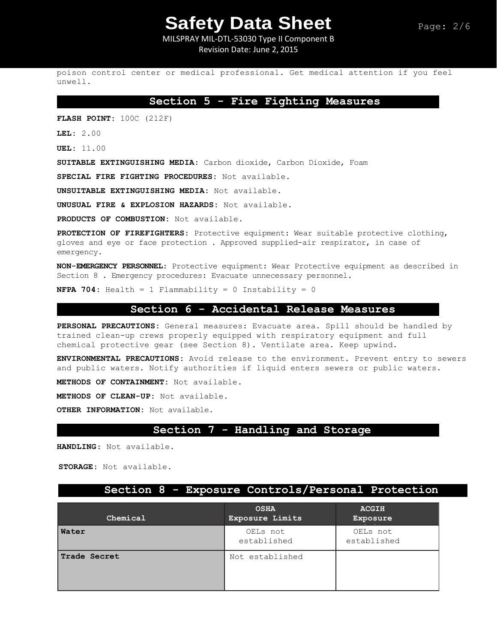MILSPRAY MIL-DTL-53030 Type II Component B Revision Date: June 2, 2015

poison control center or medical professional. Get medical attention if you feel unwell.

## **Section 5 - Fire Fighting Measures**

**FLASH POINT:** 100C (212F)

**LEL:** 2.00

**UEL:** 11.00

**SUITABLE EXTINGUISHING MEDIA:** Carbon dioxide, Carbon Dioxide, Foam

**SPECIAL FIRE FIGHTING PROCEDURES:** Not available.

**UNSUITABLE EXTINGUISHING MEDIA:** Not available.

**UNUSUAL FIRE & EXPLOSION HAZARDS:** Not available.

**PRODUCTS OF COMBUSTION:** Not available.

**PROTECTION OF FIREFIGHTERS:** Protective equipment: Wear suitable protective clothing, gloves and eye or face protection . Approved supplied-air respirator, in case of emergency.

**NON-EMERGENCY PERSONNEL**: Protective equipment: Wear Protective equipment as described in Section 8 . Emergency procedures: Evacuate unnecessary personnel.

**NFPA 704:** Health = 1 Flammability = 0 Instability = 0

## **Section 6 - Accidental Release Measures**

**PERSONAL PRECAUTIONS:** General measures: Evacuate area. Spill should be handled by trained clean-up crews properly equipped with respiratory equipment and full chemical protective gear (see Section 8). Ventilate area. Keep upwind.

**ENVIRONMENTAL PRECAUTIONS:** Avoid release to the environment. Prevent entry to sewers and public waters. Notify authorities if liquid enters sewers or public waters.

**METHODS OF CONTAINMENT:** Not available.

**METHODS OF CLEAN-UP:** Not available.

**OTHER INFORMATION:** Not available.

## **Section 7 - Handling and Storage**

**HANDLING**: Not available.

**STORAGE:** Not available.

## **Section 8 - Exposure Controls/Personal Protection**

| Chemical     | <b>OSHA</b><br>Exposure Limits | <b>ACGIH</b><br>Exposure |
|--------------|--------------------------------|--------------------------|
| Water        | OELs not<br>established        | OELs not<br>established  |
| Trade Secret | Not established                |                          |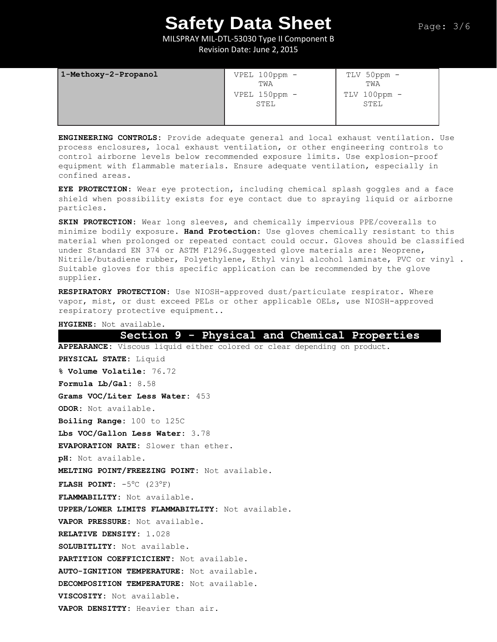MILSPRAY MIL-DTL-53030 Type II Component B Revision Date: June 2, 2015

| 1-Methoxy-2-Propanol | $VPEL 100ppm -$<br>TWA | TLV 50ppm -<br>TWA   |
|----------------------|------------------------|----------------------|
|                      | VPEL 150ppm -<br>STEL  | TLV 100ppm -<br>STEL |

**ENGINEERING CONTROLS:** Provide adequate general and local exhaust ventilation. Use process enclosures, local exhaust ventilation, or other engineering controls to control airborne levels below recommended exposure limits. Use explosion-proof equipment with flammable materials. Ensure adequate ventilation, especially in confined areas.

**EYE PROTECTION**: Wear eye protection, including chemical splash goggles and a face shield when possibility exists for eye contact due to spraying liquid or airborne particles.

**SKIN PROTECTION:** Wear long sleeves, and chemically impervious PPE/coveralls to minimize bodily exposure. **Hand Protection:** Use gloves chemically resistant to this material when prolonged or repeated contact could occur. Gloves should be classified under Standard EN 374 or ASTM F1296.Suggested glove materials are: Neoprene, Nitrile/butadiene rubber, Polyethylene, Ethyl vinyl alcohol laminate, PVC or vinyl . Suitable gloves for this specific application can be recommended by the glove supplier.

**RESPIRATORY PROTECTION**: Use NIOSH-approved dust/particulate respirator. Where vapor, mist, or dust exceed PELs or other applicable OELs, use NIOSH-approved respiratory protective equipment..

**HYGIENE**: Not available.

**Section 9 - Physical and Chemical Properties APPEARANCE:** Viscous liquid either colored or clear depending on product. **PHYSICAL STATE:** Liquid **% Volume Volatile:** 76.72 **Formula Lb/Gal:** 8.58 **Grams VOC/Liter Less Water:** 453 **ODOR:** Not available. **Boiling Range:** 100 to 125C **Lbs VOC/Gallon Less Water:** 3.78 **EVAPORATION RATE:** Slower than ether. **pH:** Not available. **MELTING POINT/FREEZING POINT:** Not available. **FLASH POINT:**  $-5^{\circ}$ C (23°F) **FLAMMABILITY:** Not available. **UPPER/LOWER LIMITS FLAMMABITLITY:** Not available. **VAPOR PRESSURE:** Not available. **RELATIVE DENSITY:** 1.028 **SOLUBITLITY:** Not available. **PARTITION COEFFICICIENT:** Not available. **AUTO-IGNITION TEMPERATURE:** Not available. **DECOMPOSITION TEMPERATURE:** Not available. **VISCOSITY:** Not available. **VAPOR DENSITTY:** Heavier than air.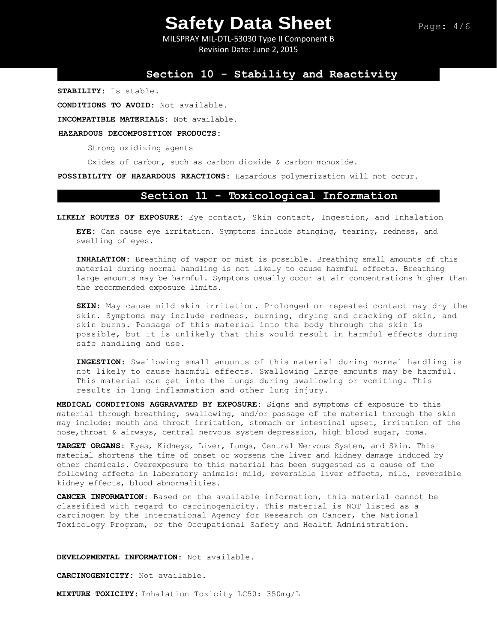MILSPRAY MIL-DTL-53030 Type II Component B Revision Date: June 2, 2015

## **Section 10 - Stability and Reactivity**

**STABILITY:** Is stable.

**CONDITIONS TO AVOID:** Not available.

**INCOMPATIBLE MATERIALS:** Not available.

#### **HAZARDOUS DECOMPOSITION PRODUCTS:**

Strong oxidizing agents

Oxides of carbon, such as carbon dioxide & carbon monoxide.

**POSSIBILITY OF HAZARDOUS REACTIONS:** Hazardous polymerization will not occur.

## **Section 11 - Toxicological Information**

**LIKELY ROUTES OF EXPOSURE:** Eye contact, Skin contact, Ingestion, and Inhalation

**EYE:** Can cause eye irritation. Symptoms include stinging, tearing, redness, and swelling of eyes.

**INHALATION:** Breathing of vapor or mist is possible. Breathing small amounts of this material during normal handling is not likely to cause harmful effects. Breathing large amounts may be harmful. Symptoms usually occur at air concentrations higher than the recommended exposure limits.

**SKIN:** May cause mild skin irritation. Prolonged or repeated contact may dry the skin. Symptoms may include redness, burning, drying and cracking of skin, and skin burns. Passage of this material into the body through the skin is possible, but it is unlikely that this would result in harmful effects during safe handling and use.

**INGESTION:** Swallowing small amounts of this material during normal handling is not likely to cause harmful effects. Swallowing large amounts may be harmful. This material can get into the lungs during swallowing or vomiting. This results in lung inflammation and other lung injury.

**MEDICAL CONDITIONS AGGRAVATED BY EXPOSURE:** Signs and symptoms of exposure to this material through breathing, swallowing, and/or passage of the material through the skin may include: mouth and throat irritation, stomach or intestinal upset, irritation of the nose,throat & airways, central nervous system depression, high blood sugar, coma.

**TARGET ORGANS:** Eyes, Kidneys, Liver, Lungs, Central Nervous System, and Skin. This material shortens the time of onset or worsens the liver and kidney damage induced by other chemicals. Overexposure to this material has been suggested as a cause of the following effects in laboratory animals: mild, reversible liver effects, mild, reversible kidney effects, blood abnormalities.

**CANCER INFORMATION:** Based on the available information, this material cannot be classified with regard to carcinogenicity. This material is NOT listed as a carcinogen by the International Agency for Research on Cancer, the National Toxicology Program, or the Occupational Safety and Health Administration.

**DEVELOPMENTAL INFORMATION**: Not available.

**CARCINOGENICITY:** Not available.

**MIXTURE TOXICITY:** Inhalation Toxicity LC50: 350mg/L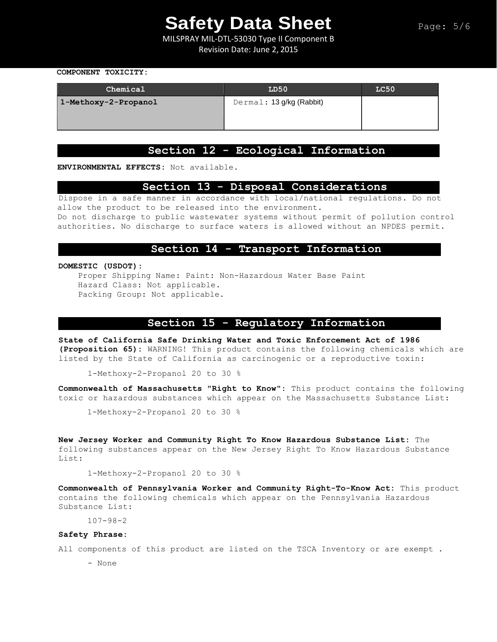MILSPRAY MIL-DTL-53030 Type II Component B Revision Date: June 2, 2015

#### **COMPONENT TOXICITY:**

| Chemical             | LD50                     | LC50 |
|----------------------|--------------------------|------|
| 1-Methoxy-2-Propanol | Dermal: 13 g/kg (Rabbit) |      |

## **Section 12 - Ecological Information**

**ENVIRONMENTAL EFFECTS:** Not available.

## **Section 13 - Disposal Considerations**

Dispose in a safe manner in accordance with local/national regulations. Do not allow the product to be released into the environment.

Do not discharge to public wastewater systems without permit of pollution control authorities. No discharge to surface waters is allowed without an NPDES permit.

## **Section 14 - Transport Information**

#### **DOMESTIC (USDOT):**

Proper Shipping Name: Paint: Non-Hazardous Water Base Paint Hazard Class: Not applicable. Packing Group: Not applicable.

## **Section 15 - Regulatory Information**

**State of California Safe Drinking Water and Toxic Enforcement Act of 1986 (Proposition 65):** WARNING! This product contains the following chemicals which are listed by the State of California as carcinogenic or a reproductive toxin:

1-Methoxy-2-Propanol 20 to 30 %

**Commonwealth of Massachusetts "Right to Know":** This product contains the following toxic or hazardous substances which appear on the Massachusetts Substance List:

1-Methoxy-2-Propanol 20 to 30 %

**New Jersey Worker and Community Right To Know Hazardous Substance List:** The following substances appear on the New Jersey Right To Know Hazardous Substance List:

1-Methoxy-2-Propanol 20 to 30 %

**Commonwealth of Pennsylvania Worker and Community Right-To-Know Act:** This product contains the following chemicals which appear on the Pennsylvania Hazardous Substance List:

107-98-2

#### **Safety Phrase:**

All components of this product are listed on the TSCA Inventory or are exempt.

- None